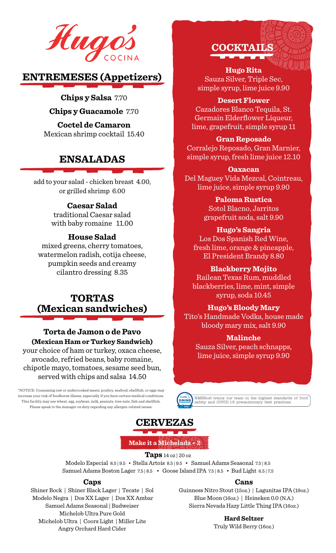

# **ENTREMESES (Appetizers)**

**Chips y Salsa** 7.70

**Chips y Guacamole** 7.70

**Coctel de Camaron** Mexican shrimp cocktail 15.40

# **ENSALADAS**

add to your salad - chicken breast 4.00, or grilled shrimp 6.00

## **Caesar Salad**

traditional Caesar salad with baby romaine 11.00

## **House Salad**

mixed greens, cherry tomatoes, watermelon radish, cotija cheese, pumpkin seeds and creamy cilantro dressing 8.35

# **TORTAS (Mexican sandwiches)**

# **Torta de Jamon o de Pavo (Mexican Ham or Turkey Sandwich)**

your choice of ham or turkey, oxaca cheese, avocado, refried beans, baby romaine, chipotle mayo, tomatoes, sesame seed bun, served with chips and salsa 14.50

\*NOTICE: Consuming raw or undercooked meats, poultry, seafood, shellfish, or eggs may increase your risk of foodborne illness, especially if you have certain medical conditions. This facility may use wheat, egg, soybean, milk, peanuts, tree nuts, fish and shellfish. Please speak to the manager on duty regarding any allergen-related issues.



**Hugo Rita** Sauza Silver, Triple Sec, simple syrup, lime juice 9.90

**Desert Flower**

Cazadores Blanco Tequila, St. Germain Elderflower Liqueur, lime, grapefruit, simple syrup 11

## **Gran Reposado**

Corralejo Reposado, Gran Marnier, simple syrup, fresh lime juice 12.10

## **Oaxacan**

Del Maguey Vida Mezcal, Cointreau, lime juice, simple syrup 9.90

**Paloma Rustica**

Sotol Blacno, Jarritos grapefruit soda, salt 9.90

## **Hugo's Sangria**

Los Dos Spanish Red Wine, fresh lime, orange & pineapple, El President Brandy 8.80

**Blackberry Mojito**

Railean Texas Rum, muddled blackberries, lime, mint, simple syrup, soda 10.45

## **Hugo's Bloody Mary**

Tito's Handmade Vodka, house made bloody mary mix, salt 9.90

## **Malinche**

Sauza Silver, peach schnapps, lime juice, simple syrup 9.90



HMSHost trains our team in the highest standards of food safety and COVID-19 precautionary best practices.



**Make it a Michelada + 2**

**Taps** 14 oz | 20 oz

Modelo Especial 8.5 | 9.5 • Stella Artois 8.5 | 9.5 • Samuel Adams Seasonal 7.5 | 8.5 Samuel Adams Boston Lager 7.5 | 8.5 • Goose Island IPA 7.5 | 8.5 • Bud Light 6.5 | 7.5

## **Caps**

Shiner Bock | Shiner Black Lager | Tecate | Sol Modelo Negra | Dos XX Lager | Dos XX Ambar Samuel Adams Seasonal | Budweiser Michelob Ultra Pure Gold Michelob Ultra | Coors Light | Miller Lite Angry Orchard Hard Cider

### **Cans**

Guinness Nitro Stout (15oz.) | Lagunitas IPA (19oz.) Blue Moon (16oz.) | Heineken 0.0 (N.A.) Sierra Nevada Hazy Little Thing IPA (16oz.)

> **Hard Seltzer**  Truly Wild Berry (16oz.)